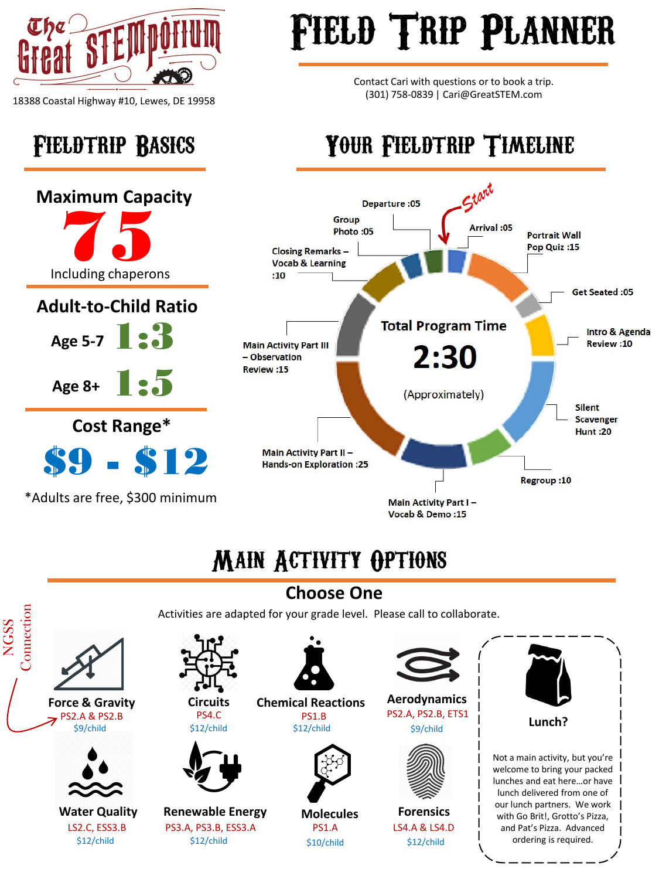

18388 Coastal Highway #10, Lewes, DE 19958

**Age 8+**

## FIELD TRIP PLANNER

Contact Cari with questions or to book a trip. (301) 758-0839 | Cari@GreatSTEM.com

#### Fieldtrip Basics Your Fieldtrip Timeline



#### Main Activity Options

#### **Choose One**



\$12/child \$12/child \$10/child \$12/child



PS2.A, PS2.B, ETS1



LS4.A & LS4.D



lunch delivered from one of our lunch partners. We work with Go Brit!, Grotto's Pizza, and Pat's Pizza. Advanced ordering is required.